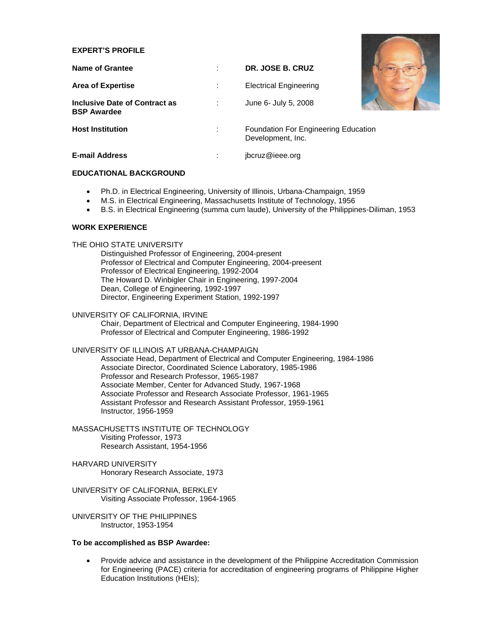## **EXPERT'S PROFILE**

| <b>EXPERT'S PROFILE</b>                             |   |                                                                  |  |
|-----------------------------------------------------|---|------------------------------------------------------------------|--|
| Name of Grantee                                     | ٠ | DR. JOSE B. CRUZ                                                 |  |
| <b>Area of Expertise</b>                            | ÷ | <b>Electrical Engineering</b>                                    |  |
| Inclusive Date of Contract as<br><b>BSP Awardee</b> | ÷ | June 6- July 5, 2008                                             |  |
| <b>Host Institution</b>                             | ÷ | <b>Foundation For Engineering Education</b><br>Development, Inc. |  |
| <b>E-mail Address</b>                               |   | jbcruz@ieee.org                                                  |  |

#### **EDUCATIONAL BACKGROUND**

- Ph.D. in Electrical Engineering, University of Illinois, Urbana-Champaign, 1959
- M.S. in Electrical Engineering, Massachusetts Institute of Technology, 1956
- B.S. in Electrical Engineering (summa cum laude), University of the Philippines-Diliman, 1953

# **WORK EXPERIENCE**

# THE OHIO STATE UNIVERSITY

Distinguished Professor of Engineering, 2004-present Professor of Electrical and Computer Engineering, 2004-preesent Professor of Electrical Engineering, 1992-2004 The Howard D. Winbigler Chair in Engineering, 1997-2004 Dean, College of Engineering, 1992-1997 Director, Engineering Experiment Station, 1992-1997

# UNIVERSITY OF CALIFORNIA, IRVINE

Chair, Department of Electrical and Computer Engineering, 1984-1990 Professor of Electrical and Computer Engineering, 1986-1992

# UNIVERSITY OF ILLINOIS AT URBANA-CHAMPAIGN

Associate Head, Department of Electrical and Computer Engineering, 1984-1986 Associate Director, Coordinated Science Laboratory, 1985-1986 Professor and Research Professor, 1965-1987 Associate Member, Center for Advanced Study, 1967-1968 Associate Professor and Research Associate Professor, 1961-1965 Assistant Professor and Research Assistant Professor, 1959-1961 Instructor, 1956-1959

MASSACHUSETTS INSTITUTE OF TECHNOLOGY Visiting Professor, 1973 Research Assistant, 1954-1956

HARVARD UNIVERSITY Honorary Research Associate, 1973

UNIVERSITY OF CALIFORNIA, BERKLEY Visiting Associate Professor, 1964-1965

UNIVERSITY OF THE PHILIPPINES Instructor, 1953-1954

#### **To be accomplished as BSP Awardee:**

• Provide advice and assistance in the development of the Philippine Accreditation Commission for Engineering (PACE) criteria for accreditation of engineering programs of Philippine Higher Education Institutions (HEIs);